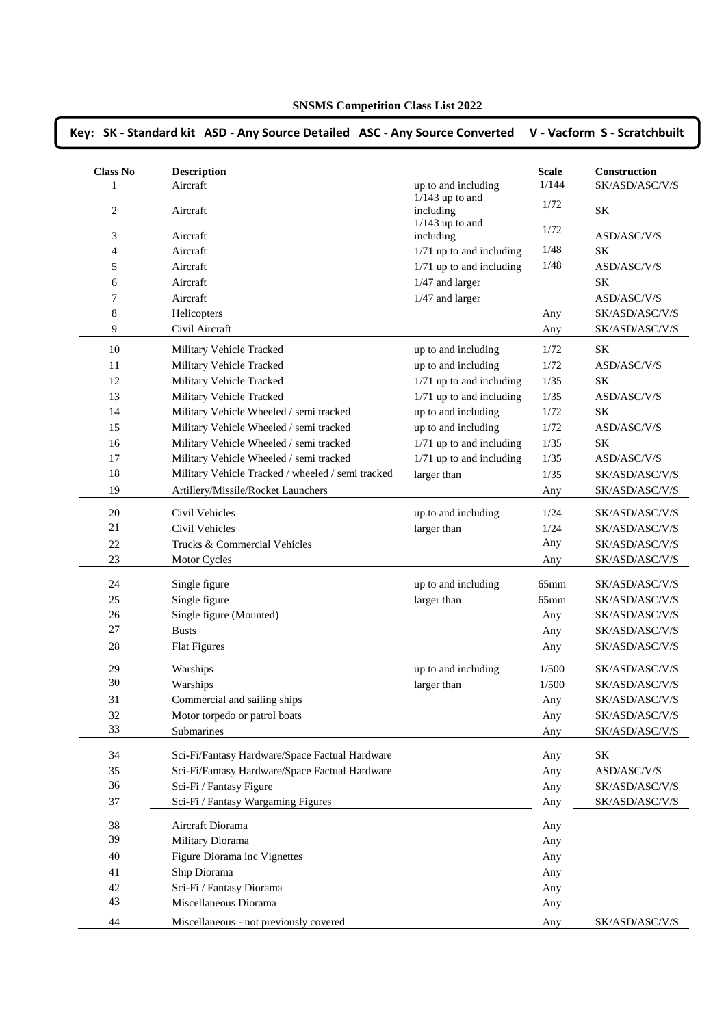|                 | Key: SK - Standard kit ASD - Any Source Detailed ASC - Any Source Converted |                                |              | V - Vacform S - Scratchbuilt     |
|-----------------|-----------------------------------------------------------------------------|--------------------------------|--------------|----------------------------------|
| <b>Class No</b> | <b>Description</b>                                                          |                                | <b>Scale</b> | Construction                     |
| 1               | Aircraft                                                                    | up to and including            | 1/144        | SK/ASD/ASC/V/S                   |
| 2               | Aircraft                                                                    | $1/143$ up to and<br>including | 1/72         | $\rm SK$                         |
| $\mathfrak{Z}$  | Aircraft                                                                    | $1/143$ up to and<br>including | 1/72         | ASD/ASC/V/S                      |
| 4               | Aircraft                                                                    | 1/71 up to and including       | 1/48         | <b>SK</b>                        |
| 5               | Aircraft                                                                    | 1/71 up to and including       | 1/48         | ASD/ASC/V/S                      |
| 6               | Aircraft                                                                    | 1/47 and larger                |              | <b>SK</b>                        |
| 7               | Aircraft                                                                    | 1/47 and larger                |              | ASD/ASC/V/S                      |
| 8               | Helicopters                                                                 |                                | Any          | SK/ASD/ASC/V/S                   |
| 9               | Civil Aircraft                                                              |                                | Any          | SK/ASD/ASC/V/S                   |
| 10              | Military Vehicle Tracked                                                    | up to and including            | 1/72         | <b>SK</b>                        |
| 11              | Military Vehicle Tracked                                                    | up to and including            | 1/72         | ASD/ASC/V/S                      |
| 12              |                                                                             | 1/71 up to and including       | 1/35         | SK                               |
| 13              | Military Vehicle Tracked                                                    | 1/71 up to and including       | 1/35         |                                  |
| 14              | Military Vehicle Tracked<br>Military Vehicle Wheeled / semi tracked         | up to and including            | 1/72         | ASD/ASC/V/S<br>SK                |
| 15              | Military Vehicle Wheeled / semi tracked                                     | up to and including            | 1/72         | $\operatorname{ASD/ASC/V/S}$     |
| 16              | Military Vehicle Wheeled / semi tracked                                     | 1/71 up to and including       |              | SK                               |
| 17              | Military Vehicle Wheeled / semi tracked                                     | 1/71 up to and including       | 1/35<br>1/35 |                                  |
| 18              | Military Vehicle Tracked / wheeled / semi tracked                           |                                |              | ASD/ASC/V/S                      |
| 19              | Artillery/Missile/Rocket Launchers                                          | larger than                    | 1/35<br>Any  | SK/ASD/ASC/V/S<br>SK/ASD/ASC/V/S |
|                 |                                                                             |                                |              |                                  |
| 20              | Civil Vehicles                                                              | up to and including            | 1/24         | SK/ASD/ASC/V/S                   |
| 21              | Civil Vehicles                                                              | larger than                    | 1/24         | SK/ASD/ASC/V/S                   |
| 22              | Trucks & Commercial Vehicles                                                |                                | Any          | SK/ASD/ASC/V/S                   |
| 23              | Motor Cycles                                                                |                                | Any          | SK/ASD/ASC/V/S                   |
| 24              | Single figure                                                               | up to and including            | $65$ mm      | SK/ASD/ASC/V/S                   |
| 25              | Single figure                                                               | larger than                    | $65$ mm      | SK/ASD/ASC/V/S                   |
| 26              | Single figure (Mounted)                                                     |                                | Any          | SK/ASD/ASC/V/S                   |
| 27              | <b>Busts</b>                                                                |                                | Any          | SK/ASD/ASC/V/S                   |
| 28              | <b>Flat Figures</b>                                                         |                                | Any          | SK/ASD/ASC/V/S                   |
| 29              | Warships                                                                    | up to and including            | 1/500        | SK/ASD/ASC/V/S                   |
| 30              | Warships                                                                    | larger than                    | 1/500        | SK/ASD/ASC/V/S                   |
| 31              | Commercial and sailing ships                                                |                                | Any          | SK/ASD/ASC/V/S                   |
| 32              | Motor torpedo or patrol boats                                               |                                | Any          | SK/ASD/ASC/V/S                   |
| 33              | Submarines                                                                  |                                | Any          | SK/ASD/ASC/V/S                   |
| 34              | Sci-Fi/Fantasy Hardware/Space Factual Hardware                              |                                |              | SK                               |
| 35              | Sci-Fi/Fantasy Hardware/Space Factual Hardware                              |                                | Any          | ASD/ASC/V/S                      |
| 36              | Sci-Fi / Fantasy Figure                                                     |                                | Any          | SK/ASD/ASC/V/S                   |
| 37              | Sci-Fi / Fantasy Wargaming Figures                                          |                                | Any<br>Any   | SK/ASD/ASC/V/S                   |
|                 |                                                                             |                                |              |                                  |
| 38              | Aircraft Diorama                                                            |                                | Any          |                                  |
| 39              | Military Diorama                                                            |                                | Any          |                                  |
| 40              | Figure Diorama inc Vignettes                                                |                                | Any          |                                  |
| 41              | Ship Diorama                                                                |                                | Any          |                                  |
| 42              | Sci-Fi / Fantasy Diorama                                                    |                                | Any          |                                  |
| 43              | Miscellaneous Diorama                                                       |                                | Any          |                                  |
| 44              | Miscellaneous - not previously covered                                      |                                | Any          | SK/ASD/ASC/V/S                   |